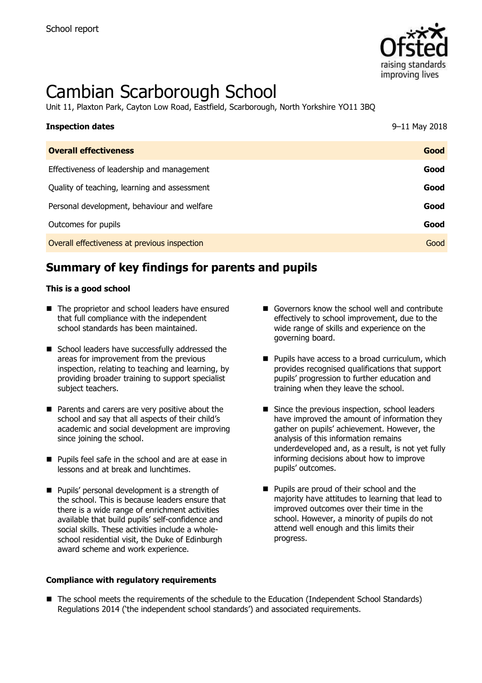

# Cambian Scarborough School

Unit 11, Plaxton Park, Cayton Low Road, Eastfield, Scarborough, North Yorkshire YO11 3BQ

| <b>Inspection dates</b>                      | 9-11 May 2018 |
|----------------------------------------------|---------------|
| <b>Overall effectiveness</b>                 | Good          |
| Effectiveness of leadership and management   | Good          |
| Quality of teaching, learning and assessment | Good          |
| Personal development, behaviour and welfare  | Good          |
| Outcomes for pupils                          | Good          |
| Overall effectiveness at previous inspection | Good          |

## **Summary of key findings for parents and pupils**

#### **This is a good school**

- The proprietor and school leaders have ensured that full compliance with the independent school standards has been maintained.
- School leaders have successfully addressed the areas for improvement from the previous inspection, relating to teaching and learning, by providing broader training to support specialist subject teachers.
- **Parents and carers are very positive about the** school and say that all aspects of their child's academic and social development are improving since joining the school.
- **Pupils feel safe in the school and are at ease in** lessons and at break and lunchtimes.
- **Pupils' personal development is a strength of** the school. This is because leaders ensure that there is a wide range of enrichment activities available that build pupils' self-confidence and social skills. These activities include a wholeschool residential visit, the Duke of Edinburgh award scheme and work experience.
- **Compliance with regulatory requirements**
- Governors know the school well and contribute effectively to school improvement, due to the wide range of skills and experience on the governing board.
- **Pupils have access to a broad curriculum, which** provides recognised qualifications that support pupils' progression to further education and training when they leave the school.
- Since the previous inspection, school leaders have improved the amount of information they gather on pupils' achievement. However, the analysis of this information remains underdeveloped and, as a result, is not yet fully informing decisions about how to improve pupils' outcomes.
- **Pupils are proud of their school and the** majority have attitudes to learning that lead to improved outcomes over their time in the school. However, a minority of pupils do not attend well enough and this limits their progress.
- The school meets the requirements of the schedule to the Education (Independent School Standards) Regulations 2014 ('the independent school standards') and associated requirements.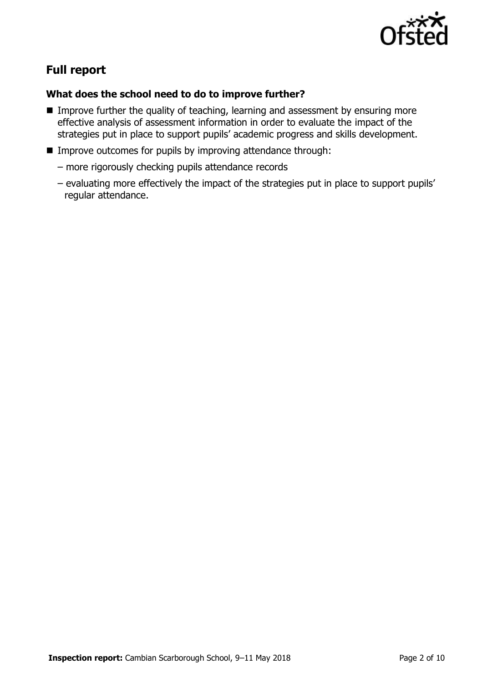

# **Full report**

## **What does the school need to do to improve further?**

- **IMPROVE** further the quality of teaching, learning and assessment by ensuring more effective analysis of assessment information in order to evaluate the impact of the strategies put in place to support pupils' academic progress and skills development.
- **IMPROVE OUTCOMES for pupils by improving attendance through:** 
	- more rigorously checking pupils attendance records
	- evaluating more effectively the impact of the strategies put in place to support pupils' regular attendance.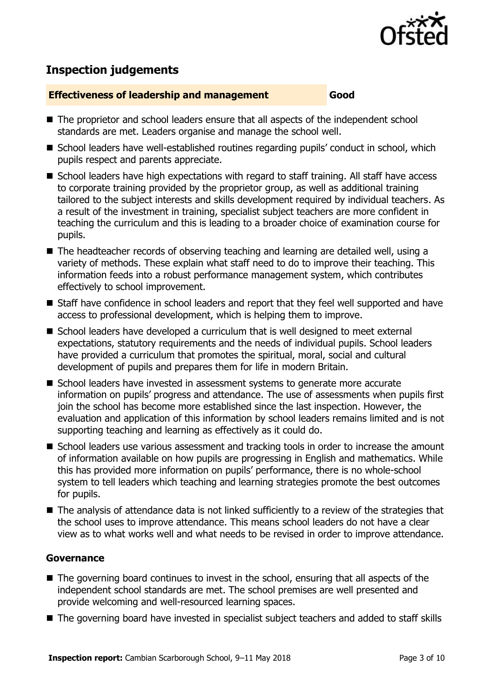

## **Inspection judgements**

#### **Effectiveness of leadership and management Good**

- The proprietor and school leaders ensure that all aspects of the independent school standards are met. Leaders organise and manage the school well.
- School leaders have well-established routines regarding pupils' conduct in school, which pupils respect and parents appreciate.
- School leaders have high expectations with regard to staff training. All staff have access to corporate training provided by the proprietor group, as well as additional training tailored to the subject interests and skills development required by individual teachers. As a result of the investment in training, specialist subject teachers are more confident in teaching the curriculum and this is leading to a broader choice of examination course for pupils.
- The headteacher records of observing teaching and learning are detailed well, using a variety of methods. These explain what staff need to do to improve their teaching. This information feeds into a robust performance management system, which contributes effectively to school improvement.
- Staff have confidence in school leaders and report that they feel well supported and have access to professional development, which is helping them to improve.
- School leaders have developed a curriculum that is well designed to meet external expectations, statutory requirements and the needs of individual pupils. School leaders have provided a curriculum that promotes the spiritual, moral, social and cultural development of pupils and prepares them for life in modern Britain.
- School leaders have invested in assessment systems to generate more accurate information on pupils' progress and attendance. The use of assessments when pupils first join the school has become more established since the last inspection. However, the evaluation and application of this information by school leaders remains limited and is not supporting teaching and learning as effectively as it could do.
- School leaders use various assessment and tracking tools in order to increase the amount of information available on how pupils are progressing in English and mathematics. While this has provided more information on pupils' performance, there is no whole-school system to tell leaders which teaching and learning strategies promote the best outcomes for pupils.
- The analysis of attendance data is not linked sufficiently to a review of the strategies that the school uses to improve attendance. This means school leaders do not have a clear view as to what works well and what needs to be revised in order to improve attendance.

#### **Governance**

- The governing board continues to invest in the school, ensuring that all aspects of the independent school standards are met. The school premises are well presented and provide welcoming and well-resourced learning spaces.
- The governing board have invested in specialist subject teachers and added to staff skills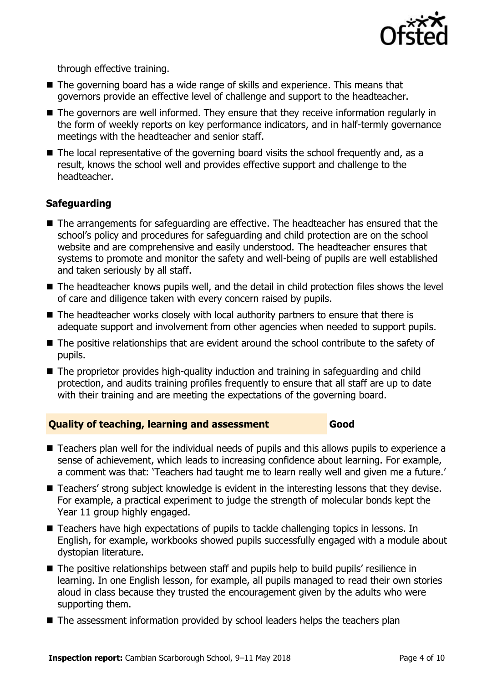

through effective training.

- The governing board has a wide range of skills and experience. This means that governors provide an effective level of challenge and support to the headteacher.
- The governors are well informed. They ensure that they receive information regularly in the form of weekly reports on key performance indicators, and in half-termly governance meetings with the headteacher and senior staff.
- The local representative of the governing board visits the school frequently and, as a result, knows the school well and provides effective support and challenge to the headteacher.

## **Safeguarding**

- The arrangements for safeguarding are effective. The headteacher has ensured that the school's policy and procedures for safeguarding and child protection are on the school website and are comprehensive and easily understood. The headteacher ensures that systems to promote and monitor the safety and well-being of pupils are well established and taken seriously by all staff.
- The headteacher knows pupils well, and the detail in child protection files shows the level of care and diligence taken with every concern raised by pupils.
- The headteacher works closely with local authority partners to ensure that there is adequate support and involvement from other agencies when needed to support pupils.
- The positive relationships that are evident around the school contribute to the safety of pupils.
- The proprietor provides high-quality induction and training in safeguarding and child protection, and audits training profiles frequently to ensure that all staff are up to date with their training and are meeting the expectations of the governing board.

#### **Quality of teaching, learning and assessment Good**

- Teachers plan well for the individual needs of pupils and this allows pupils to experience a sense of achievement, which leads to increasing confidence about learning. For example, a comment was that: 'Teachers had taught me to learn really well and given me a future.'
- Teachers' strong subject knowledge is evident in the interesting lessons that they devise. For example, a practical experiment to judge the strength of molecular bonds kept the Year 11 group highly engaged.
- Teachers have high expectations of pupils to tackle challenging topics in lessons. In English, for example, workbooks showed pupils successfully engaged with a module about dystopian literature.
- The positive relationships between staff and pupils help to build pupils' resilience in learning. In one English lesson, for example, all pupils managed to read their own stories aloud in class because they trusted the encouragement given by the adults who were supporting them.
- The assessment information provided by school leaders helps the teachers plan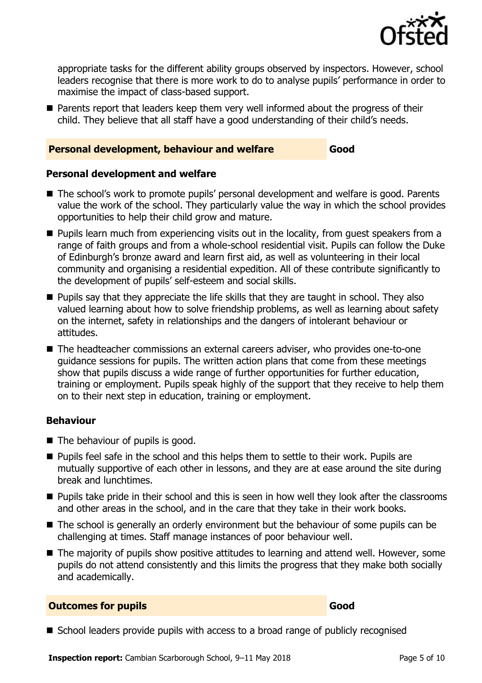

appropriate tasks for the different ability groups observed by inspectors. However, school leaders recognise that there is more work to do to analyse pupils' performance in order to maximise the impact of class-based support.

**Parents report that leaders keep them very well informed about the progress of their** child. They believe that all staff have a good understanding of their child's needs.

#### **Personal development, behaviour and welfare Good**

#### **Personal development and welfare**

- The school's work to promote pupils' personal development and welfare is good. Parents value the work of the school. They particularly value the way in which the school provides opportunities to help their child grow and mature.
- **Pupils learn much from experiencing visits out in the locality, from quest speakers from a** range of faith groups and from a whole-school residential visit. Pupils can follow the Duke of Edinburgh's bronze award and learn first aid, as well as volunteering in their local community and organising a residential expedition. All of these contribute significantly to the development of pupils' self-esteem and social skills.
- **Pupils say that they appreciate the life skills that they are taught in school. They also** valued learning about how to solve friendship problems, as well as learning about safety on the internet, safety in relationships and the dangers of intolerant behaviour or attitudes.
- The headteacher commissions an external careers adviser, who provides one-to-one guidance sessions for pupils. The written action plans that come from these meetings show that pupils discuss a wide range of further opportunities for further education, training or employment. Pupils speak highly of the support that they receive to help them on to their next step in education, training or employment.

#### **Behaviour**

- The behaviour of pupils is good.
- **Pupils feel safe in the school and this helps them to settle to their work. Pupils are** mutually supportive of each other in lessons, and they are at ease around the site during break and lunchtimes.
- **Pupils take pride in their school and this is seen in how well they look after the classrooms** and other areas in the school, and in the care that they take in their work books.
- The school is generally an orderly environment but the behaviour of some pupils can be challenging at times. Staff manage instances of poor behaviour well.
- The majority of pupils show positive attitudes to learning and attend well. However, some pupils do not attend consistently and this limits the progress that they make both socially and academically.

#### **Outcomes for pupils Good Good**

■ School leaders provide pupils with access to a broad range of publicly recognised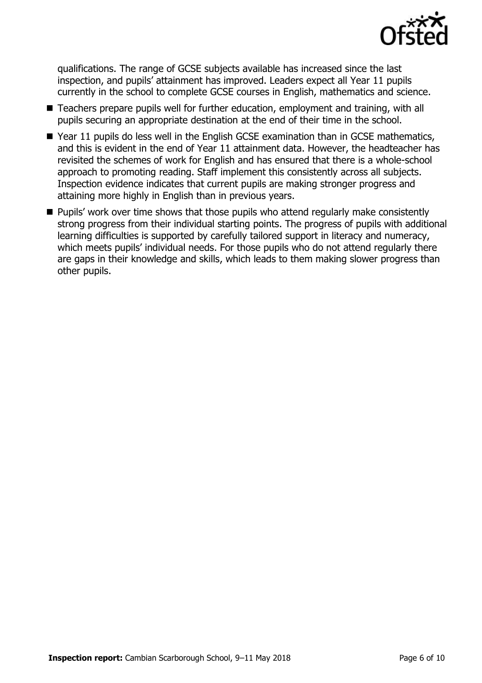

qualifications. The range of GCSE subjects available has increased since the last inspection, and pupils' attainment has improved. Leaders expect all Year 11 pupils currently in the school to complete GCSE courses in English, mathematics and science.

- Teachers prepare pupils well for further education, employment and training, with all pupils securing an appropriate destination at the end of their time in the school.
- Year 11 pupils do less well in the English GCSE examination than in GCSE mathematics, and this is evident in the end of Year 11 attainment data. However, the headteacher has revisited the schemes of work for English and has ensured that there is a whole-school approach to promoting reading. Staff implement this consistently across all subjects. Inspection evidence indicates that current pupils are making stronger progress and attaining more highly in English than in previous years.
- **Pupils' work over time shows that those pupils who attend regularly make consistently** strong progress from their individual starting points. The progress of pupils with additional learning difficulties is supported by carefully tailored support in literacy and numeracy, which meets pupils' individual needs. For those pupils who do not attend regularly there are gaps in their knowledge and skills, which leads to them making slower progress than other pupils.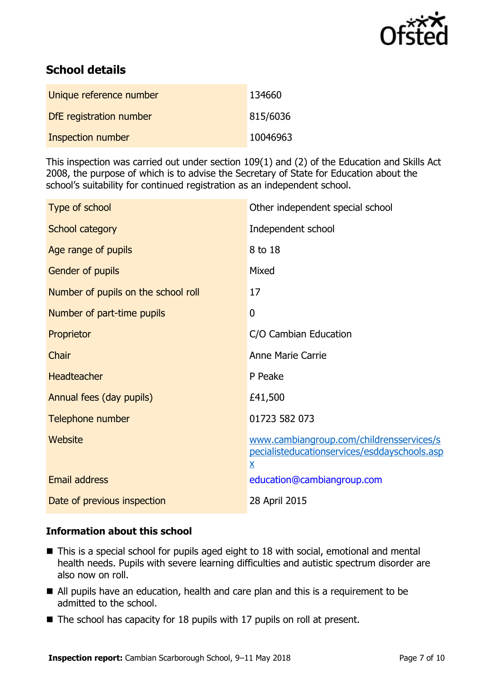

## **School details**

| Unique reference number | 134660   |
|-------------------------|----------|
| DfE registration number | 815/6036 |
| Inspection number       | 10046963 |

This inspection was carried out under section 109(1) and (2) of the Education and Skills Act 2008, the purpose of which is to advise the Secretary of State for Education about the school's suitability for continued registration as an independent school.

| Type of school                      | Other independent special school                                                                                     |
|-------------------------------------|----------------------------------------------------------------------------------------------------------------------|
| School category                     | Independent school                                                                                                   |
| Age range of pupils                 | 8 to 18                                                                                                              |
| Gender of pupils                    | Mixed                                                                                                                |
| Number of pupils on the school roll | 17                                                                                                                   |
| Number of part-time pupils          | $\mathbf 0$                                                                                                          |
| Proprietor                          | C/O Cambian Education                                                                                                |
| Chair                               | Anne Marie Carrie                                                                                                    |
| <b>Headteacher</b>                  | P Peake                                                                                                              |
| Annual fees (day pupils)            | £41,500                                                                                                              |
| Telephone number                    | 01723 582 073                                                                                                        |
| Website                             | www.cambiangroup.com/childrensservices/s<br>pecialisteducationservices/esddayschools.asp<br>$\underline{\mathsf{X}}$ |
| <b>Email address</b>                | education@cambiangroup.com                                                                                           |
| Date of previous inspection         | 28 April 2015                                                                                                        |
|                                     |                                                                                                                      |

#### **Information about this school**

- This is a special school for pupils aged eight to 18 with social, emotional and mental health needs. Pupils with severe learning difficulties and autistic spectrum disorder are also now on roll.
- All pupils have an education, health and care plan and this is a requirement to be admitted to the school.
- $\blacksquare$  The school has capacity for 18 pupils with 17 pupils on roll at present.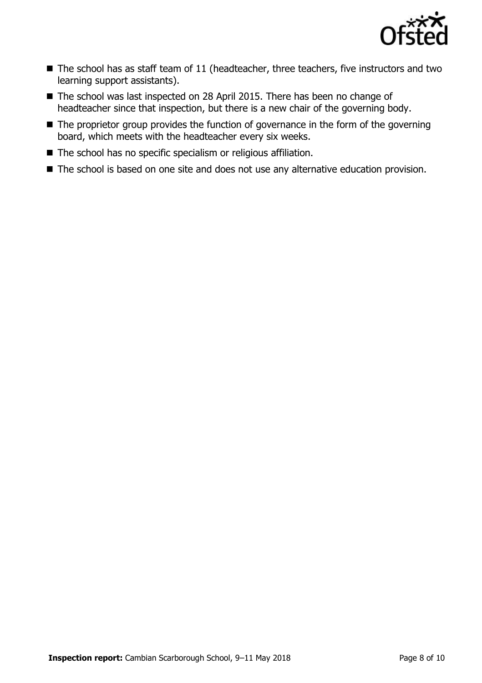

- $\blacksquare$  The school has as staff team of 11 (headteacher, three teachers, five instructors and two learning support assistants).
- The school was last inspected on 28 April 2015. There has been no change of headteacher since that inspection, but there is a new chair of the governing body.
- The proprietor group provides the function of governance in the form of the governing board, which meets with the headteacher every six weeks.
- The school has no specific specialism or religious affiliation.
- The school is based on one site and does not use any alternative education provision.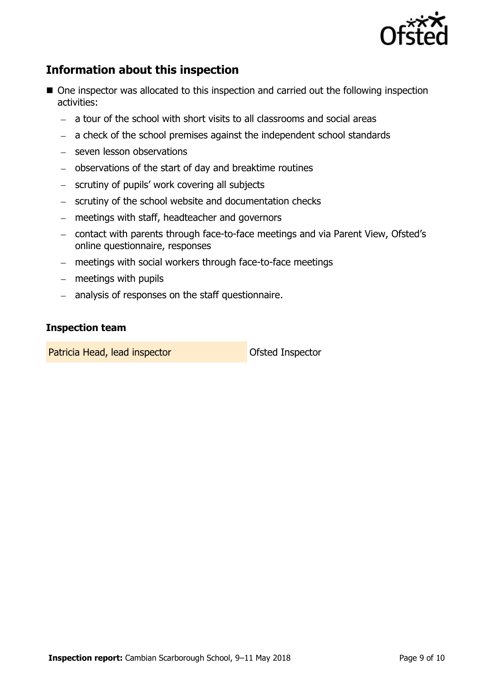

## **Information about this inspection**

- One inspector was allocated to this inspection and carried out the following inspection activities:
	- a tour of the school with short visits to all classrooms and social areas
	- $-$  a check of the school premises against the independent school standards
	- seven lesson observations
	- observations of the start of day and breaktime routines
	- scrutiny of pupils' work covering all subjects
	- scrutiny of the school website and documentation checks
	- meetings with staff, headteacher and governors
	- contact with parents through face-to-face meetings and via Parent View, Ofsted's online questionnaire, responses
	- meetings with social workers through face-to-face meetings
	- $-$  meetings with pupils
	- analysis of responses on the staff questionnaire.

#### **Inspection team**

Patricia Head, lead inspector **Department Constructs** Ofsted Inspector